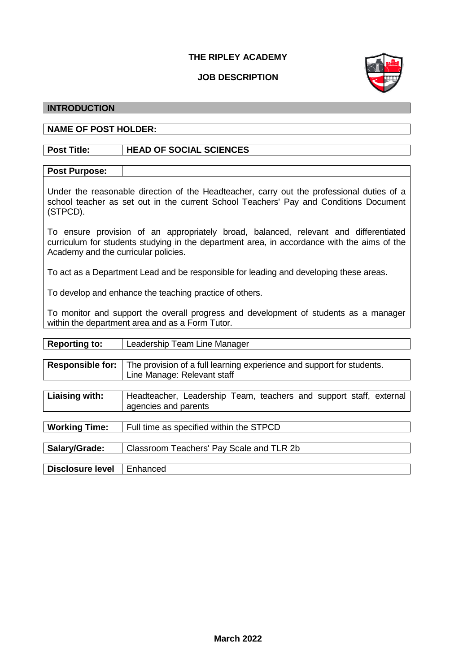# **THE RIPLEY ACADEMY**

# **JOB DESCRIPTION**



# **INTRODUCTION**

### **NAME OF POST HOLDER:**

# **Post Title: HEAD OF SOCIAL SCIENCES**

# **Post Purpose:**

Under the reasonable direction of the Headteacher, carry out the professional duties of a school teacher as set out in the current School Teachers' Pay and Conditions Document (STPCD).

To ensure provision of an appropriately broad, balanced, relevant and differentiated curriculum for students studying in the department area, in accordance with the aims of the Academy and the curricular policies.

To act as a Department Lead and be responsible for leading and developing these areas.

To develop and enhance the teaching practice of others.

To monitor and support the overall progress and development of students as a manager within the department area and as a Form Tutor.

| <b>Reporting to:</b>    | Leadership Team Line Manager                                          |
|-------------------------|-----------------------------------------------------------------------|
|                         |                                                                       |
| <b>Responsible for:</b> | The provision of a full learning experience and support for students. |
|                         | Line Manage: Relevant staff                                           |
|                         |                                                                       |
| Liaising with:          | Headteacher, Leadership Team, teachers and support staff, external    |
|                         | agencies and parents                                                  |
|                         |                                                                       |
| <b>Working Time:</b>    | Full time as specified within the STPCD                               |
|                         |                                                                       |
| Salary/Grade:           | Classroom Teachers' Pay Scale and TLR 2b                              |
|                         |                                                                       |
| <b>Disclosure level</b> | Enhanced                                                              |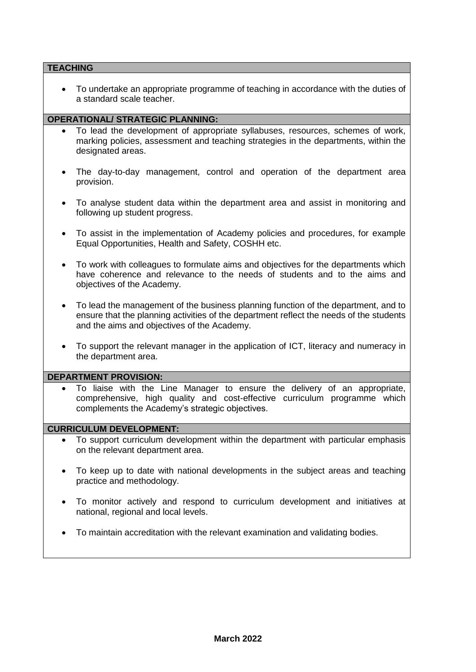# **TEACHING**

• To undertake an appropriate programme of teaching in accordance with the duties of a standard scale teacher.

### **OPERATIONAL/ STRATEGIC PLANNING:**

- To lead the development of appropriate syllabuses, resources, schemes of work, marking policies, assessment and teaching strategies in the departments, within the designated areas.
- The day-to-day management, control and operation of the department area provision.
- To analyse student data within the department area and assist in monitoring and following up student progress.
- To assist in the implementation of Academy policies and procedures, for example Equal Opportunities, Health and Safety, COSHH etc.
- To work with colleagues to formulate aims and objectives for the departments which have coherence and relevance to the needs of students and to the aims and objectives of the Academy.
- To lead the management of the business planning function of the department, and to ensure that the planning activities of the department reflect the needs of the students and the aims and objectives of the Academy.
- To support the relevant manager in the application of ICT, literacy and numeracy in the department area.

### **DEPARTMENT PROVISION:**

• To liaise with the Line Manager to ensure the delivery of an appropriate, comprehensive, high quality and cost-effective curriculum programme which complements the Academy's strategic objectives.

### **CURRICULUM DEVELOPMENT:**

- To support curriculum development within the department with particular emphasis on the relevant department area.
- To keep up to date with national developments in the subject areas and teaching practice and methodology.
- To monitor actively and respond to curriculum development and initiatives at national, regional and local levels.
- To maintain accreditation with the relevant examination and validating bodies.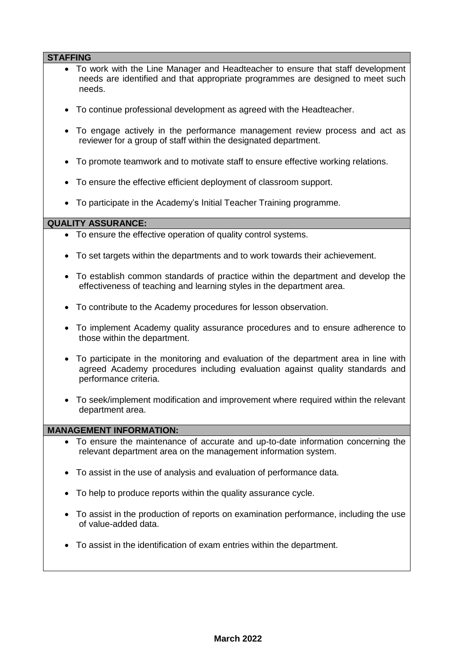| <b>STAFFING</b> |                                                                                                                                                                                              |  |
|-----------------|----------------------------------------------------------------------------------------------------------------------------------------------------------------------------------------------|--|
|                 | • To work with the Line Manager and Headteacher to ensure that staff development<br>needs are identified and that appropriate programmes are designed to meet such<br>needs.                 |  |
|                 | • To continue professional development as agreed with the Headteacher.                                                                                                                       |  |
|                 | To engage actively in the performance management review process and act as<br>reviewer for a group of staff within the designated department.                                                |  |
| $\bullet$       | To promote teamwork and to motivate staff to ensure effective working relations.                                                                                                             |  |
|                 | To ensure the effective efficient deployment of classroom support.                                                                                                                           |  |
|                 | To participate in the Academy's Initial Teacher Training programme.                                                                                                                          |  |
|                 | <b>QUALITY ASSURANCE:</b>                                                                                                                                                                    |  |
|                 |                                                                                                                                                                                              |  |
|                 | • To ensure the effective operation of quality control systems.                                                                                                                              |  |
|                 | To set targets within the departments and to work towards their achievement.                                                                                                                 |  |
| $\bullet$       | To establish common standards of practice within the department and develop the<br>effectiveness of teaching and learning styles in the department area.                                     |  |
|                 | To contribute to the Academy procedures for lesson observation.                                                                                                                              |  |
| $\bullet$       | To implement Academy quality assurance procedures and to ensure adherence to<br>those within the department.                                                                                 |  |
|                 | To participate in the monitoring and evaluation of the department area in line with<br>agreed Academy procedures including evaluation against quality standards and<br>performance criteria. |  |
| $\bullet$       | To seek/implement modification and improvement where required within the relevant<br>department area.                                                                                        |  |
|                 | <b>MANAGEMENT INFORMATION:</b>                                                                                                                                                               |  |
|                 | To ensure the maintenance of accurate and up-to-date information concerning the<br>relevant department area on the management information system.                                            |  |
| ٠               | To assist in the use of analysis and evaluation of performance data.                                                                                                                         |  |
|                 | To help to produce reports within the quality assurance cycle.                                                                                                                               |  |
| ٠               | To assist in the production of reports on examination performance, including the use<br>of value-added data.                                                                                 |  |
|                 | To assist in the identification of exam entries within the department.                                                                                                                       |  |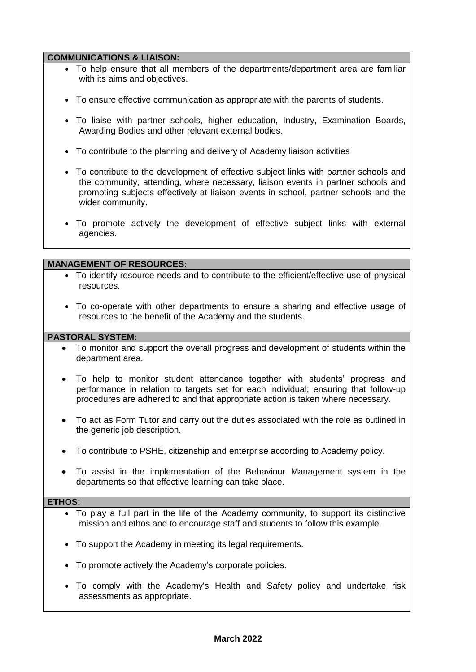### **COMMUNICATIONS & LIAISON:**

- To help ensure that all members of the departments/department area are familiar with its aims and objectives.
- To ensure effective communication as appropriate with the parents of students.
- To liaise with partner schools, higher education, Industry, Examination Boards, Awarding Bodies and other relevant external bodies.
- To contribute to the planning and delivery of Academy liaison activities
- To contribute to the development of effective subject links with partner schools and the community, attending, where necessary, liaison events in partner schools and promoting subjects effectively at liaison events in school, partner schools and the wider community.
- To promote actively the development of effective subject links with external agencies.

### **MANAGEMENT OF RESOURCES:**

- To identify resource needs and to contribute to the efficient/effective use of physical resources.
- To co-operate with other departments to ensure a sharing and effective usage of resources to the benefit of the Academy and the students.

### **PASTORAL SYSTEM:**

- To monitor and support the overall progress and development of students within the department area.
- To help to monitor student attendance together with students' progress and performance in relation to targets set for each individual; ensuring that follow-up procedures are adhered to and that appropriate action is taken where necessary.
- To act as Form Tutor and carry out the duties associated with the role as outlined in the generic job description.
- To contribute to PSHE, citizenship and enterprise according to Academy policy.
- To assist in the implementation of the Behaviour Management system in the departments so that effective learning can take place.

#### **ETHOS**:

- To play a full part in the life of the Academy community, to support its distinctive mission and ethos and to encourage staff and students to follow this example.
- To support the Academy in meeting its legal requirements.
- To promote actively the Academy's corporate policies.
- To comply with the Academy's Health and Safety policy and undertake risk assessments as appropriate.